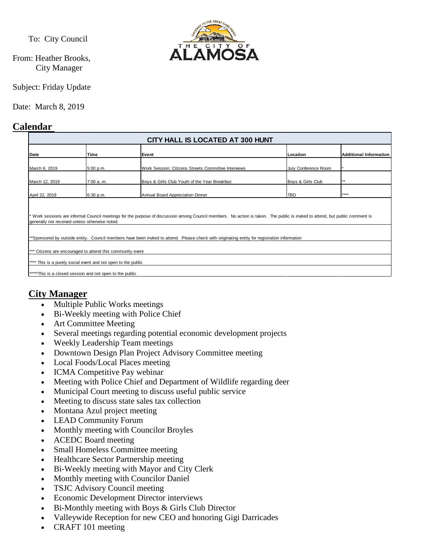To: City Council

From: Heather Brooks, City Manager

Subject: Friday Update

Date: March 8, 2019

# **Calendar**



# **City Manager**

- Multiple Public Works meetings
- Bi-Weekly meeting with Police Chief
- Art Committee Meeting
- Several meetings regarding potential economic development projects
- Weekly Leadership Team meetings
- Downtown Design Plan Project Advisory Committee meeting
- Local Foods/Local Places meeting
- ICMA Competitive Pay webinar
- Meeting with Police Chief and Department of Wildlife regarding deer
- Municipal Court meeting to discuss useful public service
- Meeting to discuss state sales tax collection
- Montana Azul project meeting
- LEAD Community Forum
- Monthly meeting with Councilor Broyles
- ACEDC Board meeting
- Small Homeless Committee meeting
- Healthcare Sector Partnership meeting
- Bi-Weekly meeting with Mayor and City Clerk
- Monthly meeting with Councilor Daniel
- TSJC Advisory Council meeting
- Economic Development Director interviews
- Bi-Monthly meeting with Boys & Girls Club Director
- Valleywide Reception for new CEO and honoring Gigi Darricades
- CRAFT 101 meeting

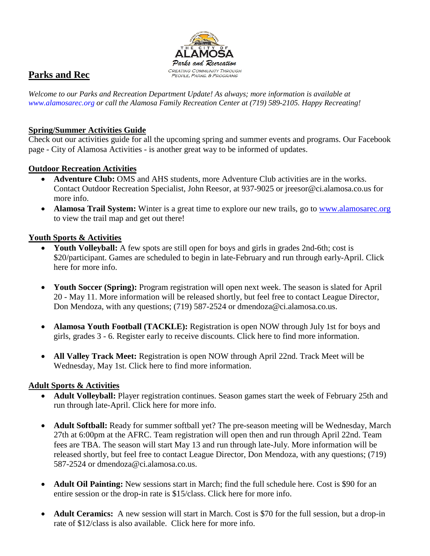

# **Parks and Rec**

*Welcome to our Parks and Recreation Department Update! As always; more information is available at [www.alamosarec.org](http://www.alamosarec.org/) or call the Alamosa Family Recreation Center at (719) 589-2105. Happy Recreating!*

### **Spring/Summer Activities Guide**

Check out our activities guide for all the upcoming spring and summer events and programs. Our Facebook page - City of Alamosa Activities - is another great way to be informed of updates.

## **Outdoor Recreation Activities**

- **Adventure Club:** OMS and AHS students, more Adventure Club activities are in the works. Contact Outdoor Recreation Specialist, John Reesor, at 937-9025 or jreesor@ci.alamosa.co.us for more info.
- **Alamosa Trail System:** Winter is a great time to explore our new trails, go to [www.alamosarec.org](http://www.alamosarec.org/) to view the trail map and get out there!

## **Youth Sports & Activities**

- **Youth Volleyball:** A few spots are still open for boys and girls in grades 2nd-6th; cost is \$20/participant. Games are scheduled to begin in late-February and run through early-April. Click here for more info.
- **Youth Soccer (Spring):** Program registration will open next week. The season is slated for April 20 - May 11. More information will be released shortly, but feel free to contact League Director, Don Mendoza, with any questions; (719) 587-2524 or dmendoza@ci.alamosa.co.us.
- **Alamosa Youth Football (TACKLE):** Registration is open NOW through July 1st for boys and girls, grades 3 - 6. Register early to receive discounts. Click here to find more information.
- **All Valley Track Meet:** Registration is open NOW through April 22nd. Track Meet will be Wednesday, May 1st. Click here to find more information.

# **Adult Sports & Activities**

- **Adult Volleyball:** Player registration continues. Season games start the week of February 25th and run through late-April. Click here for more info.
- **Adult Softball:** Ready for summer softball yet? The pre-season meeting will be Wednesday, March 27th at 6:00pm at the AFRC. Team registration will open then and run through April 22nd. Team fees are TBA. The season will start May 13 and run through late-July. More information will be released shortly, but feel free to contact League Director, Don Mendoza, with any questions; (719) 587-2524 or dmendoza@ci.alamosa.co.us.
- **Adult Oil Painting:** New sessions start in March; find the full schedule here. Cost is \$90 for an entire session or the drop-in rate is \$15/class. Click here for more info.
- **Adult Ceramics:** A new session will start in March. Cost is \$70 for the full session, but a drop-in rate of \$12/class is also available. Click here for more info.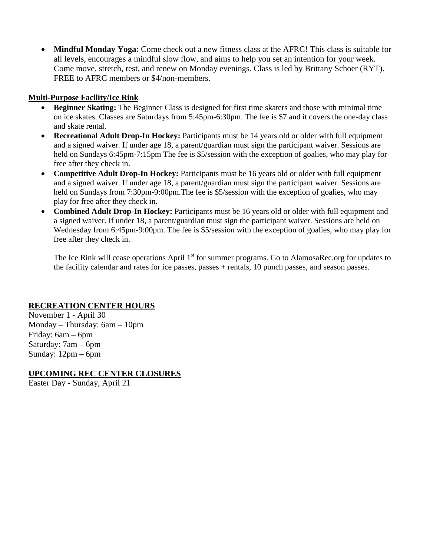• **Mindful Monday Yoga:** Come check out a new fitness class at the AFRC! This class is suitable for all levels, encourages a mindful slow flow, and aims to help you set an intention for your week. Come move, stretch, rest, and renew on Monday evenings. Class is led by Brittany Schoer (RYT). FREE to AFRC members or \$4/non-members.

#### **Multi-Purpose Facility/Ice Rink**

- **Beginner Skating:** The Beginner Class is designed for first time skaters and those with minimal time on ice skates. Classes are Saturdays from 5:45pm-6:30pm. The fee is \$7 and it covers the one-day class and skate rental.
- **Recreational Adult Drop-In Hockey:** Participants must be 14 years old or older with full equipment and a signed waiver. If under age 18, a parent/guardian must sign the participant waiver. Sessions are held on Sundays 6:45pm-7:15pm The fee is \$5/session with the exception of goalies, who may play for free after they check in.
- **Competitive Adult Drop-In Hockey:** Participants must be 16 years old or older with full equipment and a signed waiver. If under age 18, a parent/guardian must sign the participant waiver. Sessions are held on Sundays from 7:30pm-9:00pm. The fee is \$5/session with the exception of goalies, who may play for free after they check in.
- **Combined Adult Drop-In Hockey:** Participants must be 16 years old or older with full equipment and a signed waiver. If under 18, a parent/guardian must sign the participant waiver. Sessions are held on Wednesday from 6:45pm-9:00pm. The fee is \$5/session with the exception of goalies, who may play for free after they check in.

The Ice Rink will cease operations April 1<sup>st</sup> for summer programs. Go to AlamosaRec.org for updates to the facility calendar and rates for ice passes, passes + rentals, 10 punch passes, and season passes.

#### **RECREATION CENTER HOURS**

November 1 - April 30 Monday – Thursday: 6am – 10pm Friday: 6am – 6pm Saturday: 7am – 6pm Sunday: 12pm – 6pm

#### **UPCOMING REC CENTER CLOSURES**

Easter Day - Sunday, April 21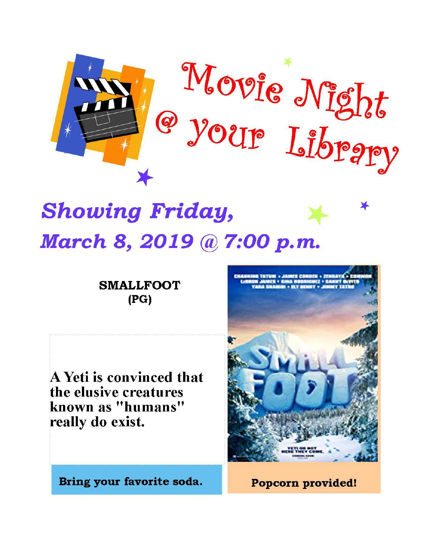

# **Showing Friday,** March 8, 2019 @ 7:00 p.m.

**SMALLFOOT**  $(PG)$ 

A Yeti is convinced that the elusive creatures known as "humans" really do exist.



Bring your favorite soda.

Popcorn provided!